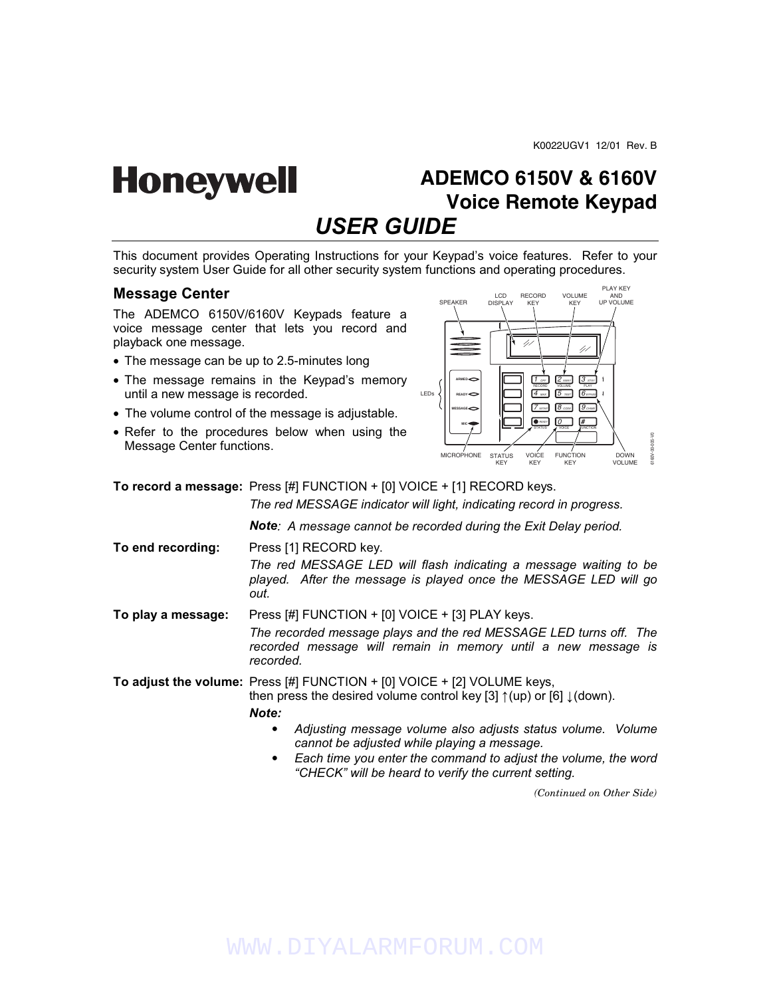## **ADEMCO 6150V & 6160V Honeywell Voice Remote Keypad** *USER GUIDE*

This document provides Operating Instructions for your Keypad's voice features. Refer to your security system User Guide for all other security system functions and operating procedures.

## **Message Center**

The ADEMCO 6150V/6160V Keypads feature a voice message center that lets you record and playback one message.

- The message can be up to 2.5-minutes long
- The message remains in the Keypad's memory until a new message is recorded.
- The volume control of the message is adjustable.
- Refer to the procedures below when using the Message Center functions.



**To record a message:** Press [#] FUNCTION + [0] VOICE + [1] RECORD keys.

 *The red MESSAGE indicator will light, indicating record in progress.* 

*Note: A message cannot be recorded during the Exit Delay period.* 

**To end recording:** Press [1] RECORD key.  *The red MESSAGE LED will flash indicating a message waiting to be played. After the message is played once the MESSAGE LED will go out.* 

**To play a message:** Press [#] FUNCTION + [0] VOICE + [3] PLAY keys.  *The recorded message plays and the red MESSAGE LED turns off. The recorded message will remain in memory until a new message is recorded.* 

**To adjust the volume:** Press [#] FUNCTION + [0] VOICE + [2] VOLUME keys,

then press the desired volume control key [3]  $\uparrow$  (up) or [6]  $\downarrow$  (down).

### *Note:*

- *Adjusting message volume also adjusts status volume. Volume cannot be adjusted while playing a message.*
- *Each time you enter the command to adjust the volume, the word "CHECK" will be heard to verify the current setting.*

*(Continued on Other Side)*